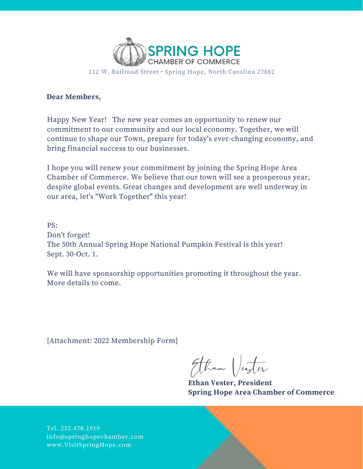

112 W. Railroad Street • Spring Hope, North Carolina 27882

### **Dear Members,**

Happy New Year! The new year comes an opportunity to renew our commitment to our community and our local economy. Together, we will continue to shape our Town, prepare for today's ever-changing economy, and bring financial success to our businesses.

I hope you will renew your commitment by joining the Spring Hope Area Chamber of Commerce. We believe that our town will see a prosperous year, despite global events. Great changes and development are well underway in our area, let's "Work Together" this year!

PS: Don't forget! The 50th Annual Spring Hope National Pumpkin Festival is this year! Sept. 30-Oct. 1.

We will have sponsorship opportunities promoting it throughout the year. More details to come.

[Attachment: 2022 Membership Form]

Ethan Vester

**Ethan Vester, President Spring Hope Area Chamber of Commerce**

Tel. 252.478.1919 info@springhopechamber.com www.VisitSpringHope.com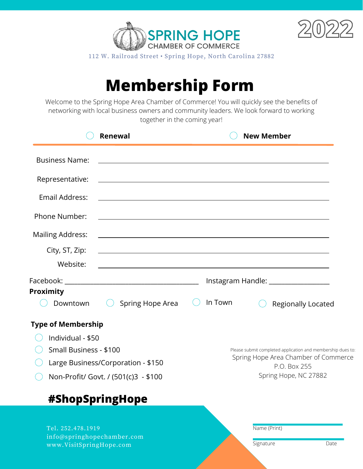



112 W. Railroad Street • Spring Hope, North Carolina 27882

# **Membership Form**

Welcome to the Spring Hope Area Chamber of Commerce! You will quickly see the benefits of networking with local business owners and community leaders. We look forward to working together in the coming year!

|                                                                            | <b>Renewal</b>                                                                                                       |         | <b>New Member</b>                                                                                                   |  |
|----------------------------------------------------------------------------|----------------------------------------------------------------------------------------------------------------------|---------|---------------------------------------------------------------------------------------------------------------------|--|
| <b>Business Name:</b>                                                      |                                                                                                                      |         |                                                                                                                     |  |
| Representative:                                                            | <u> 1989 - Andrea Station Barbara, amerikan personal di sebagai personal di sebagai personal di sebagai personal</u> |         |                                                                                                                     |  |
| Email Address:                                                             | <u> 1989 - Johann Stoff, amerikansk politiker (* 1908)</u>                                                           |         |                                                                                                                     |  |
| <b>Phone Number:</b>                                                       |                                                                                                                      |         |                                                                                                                     |  |
| <b>Mailing Address:</b>                                                    |                                                                                                                      |         |                                                                                                                     |  |
| City, ST, Zip:                                                             | <u> 1989 - Johann Stoff, amerikansk politiker (d. 1989)</u>                                                          |         |                                                                                                                     |  |
| Website:                                                                   | <u> 1989 - Johann Barn, amerikansk politiker (d. 1989)</u>                                                           |         |                                                                                                                     |  |
|                                                                            | Instagram Handle: __________________                                                                                 |         |                                                                                                                     |  |
| Proximity                                                                  |                                                                                                                      |         |                                                                                                                     |  |
| Downtown                                                                   | Spring Hope Area                                                                                                     | In Town | Regionally Located                                                                                                  |  |
| <b>Type of Membership</b>                                                  |                                                                                                                      |         |                                                                                                                     |  |
| Individual - \$50                                                          |                                                                                                                      |         |                                                                                                                     |  |
| Small Business - \$100                                                     |                                                                                                                      |         | Please submit completed application and membership dues to:<br>Spring Hope Area Chamber of Commerce<br>P.O. Box 255 |  |
| Large Business/Corporation - \$150                                         |                                                                                                                      |         |                                                                                                                     |  |
| Non-Profit/ Govt. / (501(c)3 - \$100                                       |                                                                                                                      |         | Spring Hope, NC 27882                                                                                               |  |
|                                                                            | #ShopSpringHope                                                                                                      |         |                                                                                                                     |  |
| Tel. 252.478.1919<br>info@springhopechamber.com<br>www.VisitSpringHope.com |                                                                                                                      |         | Name (Print)<br>Signature<br>Date                                                                                   |  |